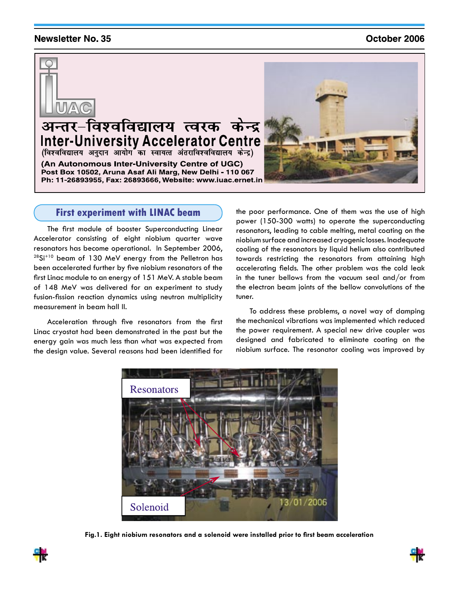## **Newsletter No. 35**

## October 2006



# अन्तर-विश्वविद्यालय त्वरक केन्द्र Inter-University Accelerator Centre<br>(विश्वविद्यालय अनुदान आयोग का स्वायत्त अंतराविश्वविद्यालय केन्द्र)

(An Autonomous Inter-University Centre of UGC) Post Box 10502, Aruna Asaf Ali Marg, New Delhi - 110 067

Ph: 11-26893955, Fax: 26893666, Website: www.iuac.ernet.in



## **First experiment with LINAC beam**

The first module of booster Superconducting Linear Accelerator consisting of eight niobium quarter wave resonators has become operational. In September 2006,  $28Si<sup>+10</sup>$  beam of 130 MeV energy from the Pelletron has been accelerated further by five niobium resonators of the first Linac module to an energy of 151 MeV. A stable beam of 148 MeV was delivered for an experiment to study fusion-fission reaction dynamics using neutron multiplicity measurement in beam hall II.

Acceleration through five resonators from the first Linac cryostat had been demonstrated in the past but the energy gain was much less than what was expected from the design value. Several reasons had been identified for the poor performance. One of them was the use of high power (150-300 watts) to operate the superconducting resonators, leading to cable melting, metal coating on the niobium surface and increased cryogenic losses. Inadequate cooling of the resonators by liquid helium also contributed towards restricting the resonators from attaining high accelerating fields. The other problem was the cold leak in the tuner bellows from the vacuum seal and/or from the electron beam joints of the bellow convolutions of the tuner.

To address these problems, a novel way of damping the mechanical vibrations was implemented which reduced the power requirement. A special new drive coupler was designed and fabricated to eliminate coating on the niobium surface. The resonator cooling was improved by



**Fig.1. Eight niobium resonators and a solenoid were installed prior to first beam acceleration**



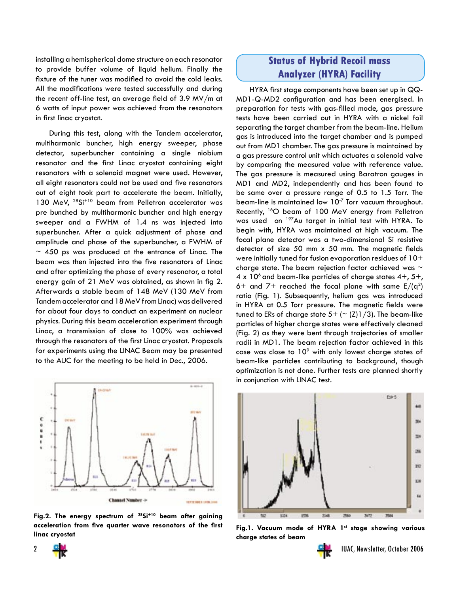installing a hemispherical dome structure on each resonator to provide buffer volume of liquid helium. Finally the fixture of the tuner was modified to avoid the cold leaks. All the modifications were tested successfully and during the recent off-line test, an average field of 3.9 MV/m at 6 watts of input power was achieved from the resonators in first linac cryostat.

During this test, along with the Tandem accelerator, multiharmonic buncher, high energy sweeper, phase detector, superbuncher containing a single niobium resonator and the first Linac cryostat containing eight resonators with a solenoid magnet were used. However, all eight resonators could not be used and five resonators out of eight took part to accelerate the beam. Initially, 130 MeV, <sup>28</sup>Si<sup>+10</sup> beam from Pelletron accelerator was pre bunched by multiharmonic buncher and high energy sweeper and a FWHM of 1.4 ns was injected into superbuncher. After a quick adjustment of phase and amplitude and phase of the superbuncher, a FWHM of  $\sim$  450 ps was produced at the entrance of Linac. The beam was then injected into the five resonators of Linac and after optimizing the phase of every resonator, a total energy gain of 21 MeV was obtained, as shown in fig 2. Afterwards a stable beam of 148 MeV (130 MeV from Tandem accelerator and 18 MeV from Linac) was delivered for about four days to conduct an experiment on nuclear physics. During this beam acceleration experiment through Linac, a transmission of close to 100% was achieved through the resonators of the first Linac cryostat. Proposals for experiments using the LINAC Beam may be presented to the AUC for the meeting to be held in Dec., 2006.



**Fig.2. The energy spectrum of 28Si+10 beam after gaining acceleration from five quarter wave resonators of the first**  acceleration from tive quarter wave resonators of the tirst **Fig.1. Vacuum mode of HYRA 1st stage showing** various<br>Iinac cryostat

# **Status of Hybrid Recoil mass Analyzer (HYRA) Facility**

HYRA first stage components have been set up in QQ-MD1-Q-MD2 configuration and has been energised. In preparation for tests with gas-filled mode, gas pressure tests have been carried out in HYRA with a nickel foil separating the target chamber from the beam-line. Helium gas is introduced into the target chamber and is pumped out from MD1 chamber. The gas pressure is maintained by a gas pressure control unit which actuates a solenoid valve by comparing the measured value with reference value. The gas pressure is measured using Baratron gauges in MD1 and MD2, independently and has been found to be same over a pressure range of 0.5 to 1.5 Torr. The beam-line is maintained low 10-7 Torr vacuum throughout. Recently, <sup>16</sup>O beam of 100 MeV energy from Pelletron was used on <sup>197</sup>Au target in initial test with HYRA. To begin with, HYRA was maintained at high vacuum. The focal plane detector was a two-dimensional Si resistive detector of size 50 mm x 50 mm. The magnetic fields were initially tuned for fusion evaporation residues of 10+ charge state. The beam rejection factor achieved was  $\sim$ 4 x 10<sup>6</sup> and beam-like particles of charge states  $4+$ ,  $5+$ , 6+ and 7+ reached the focal plane with same  $E/(q^2)$ ratio (Fig. 1). Subsequently, helium gas was introduced in HYRA at 0.5 Torr pressure. The magnetic fields were tuned to ERs of charge state  $5+$  ( $\sim$  (Z)1/3). The beam-like particles of higher charge states were effectively cleaned (Fig. 2) as they were bent through trajectories of smaller radii in MD1. The beam rejection factor achieved in this case was close to  $10^{\circ}$  with only lowest charge states of beam-like particles contributing to background, though optimization is not done. Further tests are planned shortly in conjunction with LINAC test.



**charge states of beam**



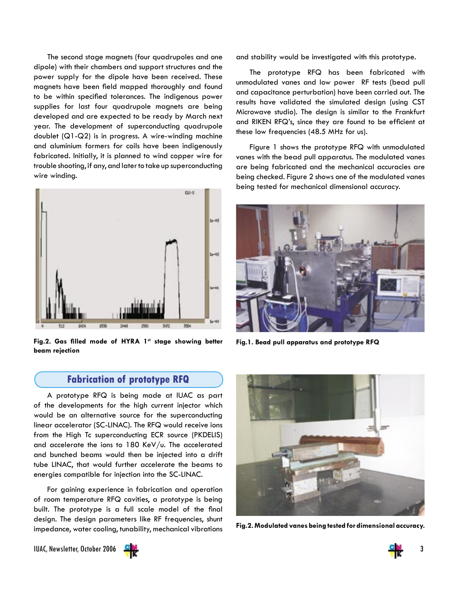The second stage magnets (four quadrupoles and one dipole) with their chambers and support structures and the power supply for the dipole have been received. These magnets have been field mapped thoroughly and found to be within specified tolerances. The indigenous power supplies for last four quadrupole magnets are being developed and are expected to be ready by March next year. The development of superconducting quadrupole doublet (Q1-Q2) is in progress. A wire-winding machine and aluminium formers for coils have been indigenously fabricated. Initially, it is planned to wind copper wire for trouble shooting, if any, and later to take up superconducting wire winding.



Fig.2. Gas filled mode of HYRA 1st stage showing better **beam rejection**

## **Fabrication of prototype RFQ**

A prototype RFQ is being made at IUAC as part of the developments for the high current injector which would be an alternative source for the superconducting linear accelerator (SC-LINAC). The RFQ would receive ions from the High Tc superconducting ECR source (PKDELIS) and accelerate the ions to 180 KeV/u. The accelerated and bunched beams would then be injected into a drift tube LINAC, that would further accelerate the beams to energies compatible for injection into the SC-LINAC.

For gaining experience in fabrication and operation of room temperature RFQ cavities, a prototype is being built. The prototype is a full scale model of the final design. The design parameters like RF frequencies, shunt impedance, water cooling, tunability, mechanical vibrations and stability would be investigated with this prototype.

The prototype RFQ has been fabricated with unmodulated vanes and low power RF tests (bead pull and capacitance perturbation) have been carried out. The results have validated the simulated design (using CST Microwave studio). The design is similar to the Frankfurt and RIKEN RFQ's, since they are found to be efficient at these low frequencies (48.5 MHz for us).

Figure 1 shows the prototype RFQ with unmodulated vanes with the bead pull apparatus. The modulated vanes are being fabricated and the mechanical accuracies are being checked. Figure 2 shows one of the modulated vanes being tested for mechanical dimensional accuracy.



**Fig.1. Bead pull apparatus and prototype RFQ**



**Fig.2. Modulated vanes being tested for dimensional accuracy.**

IUAC, Newsletter, October 2006 3



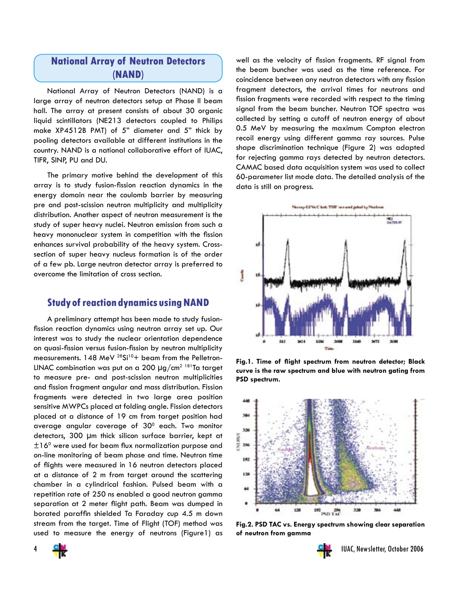## **National Array of Neutron Detectors (NAND)**

National Array of Neutron Detectors (NAND) is a large array of neutron detectors setup at Phase II beam hall. The array at present consists of about 30 organic liquid scintillators (NE213 detectors coupled to Philips make XP4512B PMT) of 5" diameter and 5" thick by pooling detectors available at different institutions in the country. NAND is a national collaborative effort of IUAC, TIFR, SINP, PU and DU.

The primary motive behind the development of this array is to study fusion-fission reaction dynamics in the energy domain near the coulomb barrier by measuring pre and post-scission neutron multiplicity and multiplicity distribution. Another aspect of neutron measurement is the study of super heavy nuclei. Neutron emission from such a heavy mononuclear system in competition with the fission enhances survival probability of the heavy system. Crosssection of super heavy nucleus formation is of the order of a few pb. Large neutron detector array is preferred to overcome the limitation of cross section.

## **Study of reaction dynamics using NAND**

A preliminary attempt has been made to study fusionfission reaction dynamics using neutron array set up. Our interest was to study the nuclear orientation dependence on quasi-fission versus fusion-fission by neutron multiplicity measurements.  $148$  MeV <sup>28</sup>Si<sup>10</sup>+ beam from the Pelletron-LINAC combination was put on a 200  $\mu$ g/cm<sup>2 181</sup>Ta target to measure pre- and post-scission neutron multiplicities and fission fragment angular and mass distribution. Fission fragments were detected in two large area position sensitive MWPCs placed at folding angle. Fission detectors placed at a distance of 19 cm from target position had average angular coverage of  $30^{\circ}$  each. Two monitor detectors, 300 µm thick silicon surface barrier, kept at  $\pm 16^{\rm o}$  were used for beam flux normalization purpose and on-line monitoring of beam phase and time. Neutron time of flights were measured in 16 neutron detectors placed at a distance of 2 m from target around the scattering chamber in a cylindrical fashion. Pulsed beam with a repetition rate of 250 ns enabled a good neutron gamma separation at 2 meter flight path. Beam was dumped in borated paraffin shielded Ta Faraday cup 4.5 m down stream from the target. Time of Flight (TOF) method was used to measure the energy of neutrons (Figure1) as

well as the velocity of fission fragments. RF signal from the beam buncher was used as the time reference. For coincidence between any neutron detectors with any fission fragment detectors, the arrival times for neutrons and fission fragments were recorded with respect to the timing signal from the beam buncher. Neutron TOF spectra was collected by setting a cutoff of neutron energy of about 0.5 MeV by measuring the maximum Compton electron recoil energy using different gamma ray sources. Pulse shape discrimination technique (Figure 2) was adapted for rejecting gamma rays detected by neutron detectors. CAMAC based data acquisition system was used to collect 60-parameter list mode data. The detailed analysis of the data is still on progress.



**Fig.1. Time of flight spectrum from neutron detector; Black curve is the raw spectrum and blue with neutron gating from PSD spectrum.**



**Fig.2. PSD TAC vs. Energy spectrum showing clear separation of neutron from gamma**



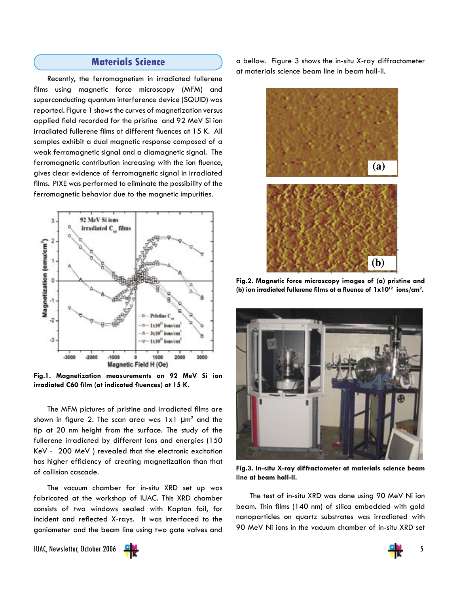## **Materials Science**

Recently, the ferromagnetism in irradiated fullerene films using magnetic force microscopy (MFM) and superconducting quantum interference device (SQUID) was reported. Figure 1 shows the curves of magnetization versus applied field recorded for the pristine and 92 MeV Si ion irradiated fullerene films at different fluences at 15 K. All samples exhibit a dual magnetic response composed of a weak ferromagnetic signal and a diamagnetic signal. The ferromagnetic contribution increasing with the ion fluence, gives clear evidence of ferromagnetic signal in irradiated films. PIXE was performed to eliminate the possibility of the ferromagnetic behavior due to the magnetic impurities.



**Fig.1. Magnetization measurements on 92 MeV Si ion irradiated C60 film (at indicated fluences) at 15 K.**

The MFM pictures of pristine and irradiated films are shown in figure 2. The scan area was  $1 \times 1$   $\mu$ m<sup>2</sup> and the tip at 20 nm height from the surface. The study of the fullerene irradiated by different ions and energies (150 KeV - 200 MeV ) revealed that the electronic excitation has higher efficiency of creating magnetization than that of collision cascade.

The vacuum chamber for in-situ XRD set up was fabricated at the workshop of IUAC. This XRD chamber consists of two windows sealed with Kapton foil, for incident and reflected X-rays. It was interfaced to the goniometer and the beam line using two gate valves and

a bellow. Figure 3 shows the in-situ X-ray diffractometer at materials science beam line in beam hall-II.



**Fig.2. Magnetic force microscopy images of (a) pristine and (b) ion irradiated fullerene films at a fluence of 1x1012 ions/cm2 .**



**Fig.3. In-situ X-ray diffractometer at materials science beam line at beam hall-II.**

The test of in-situ XRD was done using 90 MeV Ni ion beam. Thin films (140 nm) of silica embedded with gold nanoparticles on quartz substrates was irradiated with 90 MeV Ni ions in the vacuum chamber of in-situ XRD set

IUAC, Newsletter, October 2006 5



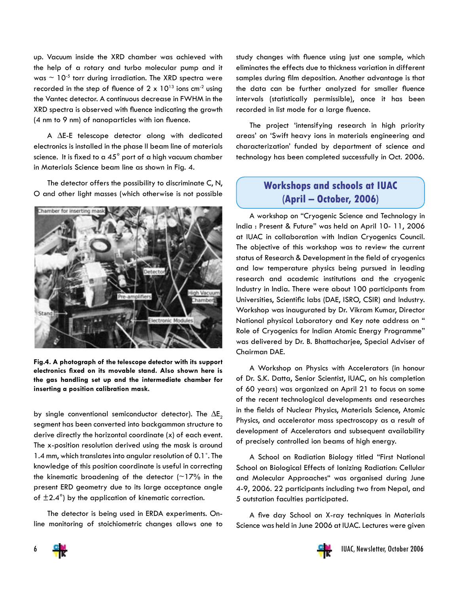up. Vacuum inside the XRD chamber was achieved with the help of a rotary and turbo molecular pump and it was  $\sim$  10<sup>-5</sup> torr during irradiation. The XRD spectra were recorded in the step of fluence of  $2 \times 10^{13}$  ions cm<sup>-2</sup> using the Vantec detector. A continuous decrease in FWHM in the XRD spectra is observed with fluence indicating the growth (4 nm to 9 nm) of nanoparticles with ion fluence.

A ∆E-E telescope detector along with dedicated electronics is installed in the phase II beam line of materials science. It is fixed to a 45 $^{\circ}$  port of a high vacuum chamber in Materials Science beam line as shown in Fig. 4.

The detector offers the possibility to discriminate C, N, O and other light masses (which otherwise is not possible



**Fig.4. A photograph of the telescope detector with its support electronics fixed on its movable stand. Also shown here is the gas handling set up and the intermediate chamber for inserting a position calibration mask.**

by single conventional semiconductor detector). The  $\Delta E_2$ segment has been converted into backgammon structure to derive directly the horizontal coordinate (x) of each event. The x-position resolution derived using the mask is around 1.4 mm, which translates into angular resolution of 0.1˚. The knowledge of this position coordinate is useful in correcting the kinematic broadening of the detector  $($ ~17% in the present ERD geometry due to its large acceptance angle of  $\pm 2.4^{\circ}$ ) by the application of kinematic correction.

The detector is being used in ERDA experiments. Online monitoring of stoichiometric changes allows one to study changes with fluence using just one sample, which eliminates the effects due to thickness variation in different samples during film deposition. Another advantage is that the data can be further analyzed for smaller fluence intervals (statistically permissible), once it has been recorded in list mode for a large fluence.

The project 'intensifying research in high priority areas' on 'Swift heavy ions in materials engineering and characterization' funded by department of science and technology has been completed successfully in Oct. 2006.

# **Workshops and schools at IUAC (April – October, 2006)**

A workshop on "Cryogenic Science and Technology in India : Present & Future" was held on April 10- 11, 2006 at IUAC in collaboration with Indian Cryogenics Council. The objective of this workshop was to review the current status of Research & Development in the field of cryogenics and low temperature physics being pursued in leading research and academic institutions and the cryogenic Industry in India. There were about 100 participants from Universities, Scientific labs (DAE, ISRO, CSIR) and Industry. Workshop was inaugurated by Dr. Vikram Kumar, Director National physical Laboratory and Key note address on " Role of Cryogenics for Indian Atomic Energy Programme" was delivered by Dr. B. Bhattacharjee, Special Adviser of Chairman DAE.

A Workshop on Physics with Accelerators (in honour of Dr. S.K. Datta, Senior Scientist, IUAC, on his completion of 60 years) was organized on April 21 to focus on some of the recent technological developments and researches in the fields of Nuclear Physics, Materials Science, Atomic Physics, and accelerator mass spectroscopy as a result of development of Accelerators and subsequent availability of precisely controlled ion beams of high energy.

A School on Radiation Biology titled "First National School on Biological Effects of Ionizing Radiation: Cellular and Molecular Approaches" was organised during June 4-9, 2006. 22 participants including two from Nepal, and 5 outstation faculties participated.

A five day School on X-ray techniques in Materials Science was held in June 2006 at IUAC. Lectures were given



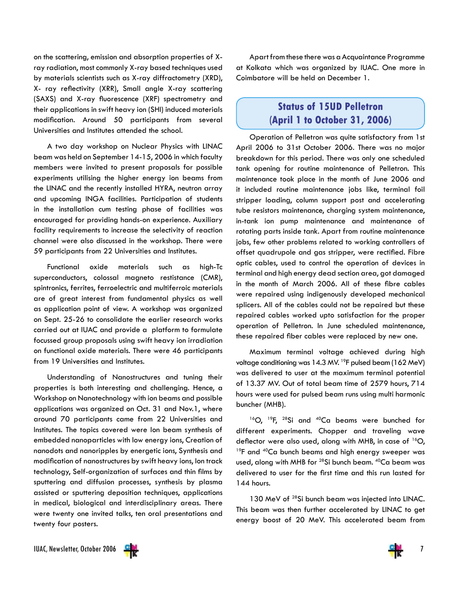on the scattering, emission and absorption properties of Xray radiation, most commonly X-ray based techniques used by materials scientists such as X-ray diffractometry (XRD), X- ray reflectivity (XRR), Small angle X-ray scattering (SAXS) and X-ray fluorescence (XRF) spectrometry and their applications in swift heavy ion (SHI) induced materials modification. Around 50 participants from several Universities and Institutes attended the school.

A two day workshop on Nuclear Physics with LINAC beam was held on September 14-15, 2006 in which faculty members were invited to present proposals for possible experiments utilising the higher energy ion beams from the LINAC and the recently installed HYRA, neutron array and upcoming INGA facilities. Participation of students in the installation cum testing phase of facilities was encouraged for providing hands-on experience. Auxiliary facility requirements to increase the selectivity of reaction channel were also discussed in the workshop. There were 59 participants from 22 Universities and Institutes.

Functional oxide materials such as high-Tc superconductors, colossal magneto restistance (CMR), spintronics, ferrites, ferroelectric and multiferroic materials are of great interest from fundamental physics as well as application point of view. A workshop was organized on Sept. 25-26 to consolidate the earlier research works carried out at IUAC and provide a platform to formulate focussed group proposals using swift heavy ion irradiation on functional oxide materials. There were 46 participants from 19 Universities and Institutes.

Understanding of Nanostructures and tuning their properties is both interesting and challenging. Hence, a Workshop on Nanotechnology with ion beams and possible applications was organized on Oct. 31 and Nov.1, where around 70 participants came from 22 Universities and Institutes. The topics covered were Ion beam synthesis of embedded nanoparticles with low energy ions, Creation of nanodots and nanoripples by energetic ions, Synthesis and modification of nanostructures by swift heavy ions, Ion track technology, Self-organization of surfaces and thin films by sputtering and diffusion processes, synthesis by plasma assisted or sputtering deposition techniques, applications in medical, biological and interdisciplinary areas. There were twenty one invited talks, ten oral presentations and twenty four posters.

Apart from these there was a Acquaintance Programme at Kolkata which was organized by IUAC. One more in Coimbatore will be held on December 1.

## **Status of 15UD Pelletron (April 1 to October 31, 2006)**

Operation of Pelletron was quite satisfactory from 1st April 2006 to 31st October 2006. There was no major breakdown for this period. There was only one scheduled tank opening for routine maintenance of Pelletron. This maintenance took place in the month of June 2006 and it included routine maintenance jobs like, terminal foil stripper loading, column support post and accelerating tube resistors maintenance, charging system maintenance, in-tank ion pump maintenance and maintenance of rotating parts inside tank. Apart from routine maintenance jobs, few other problems related to working controllers of offset quadrupole and gas stripper, were rectified. Fibre optic cables, used to control the operation of devices in terminal and high energy dead section area, got damaged in the month of March 2006. All of these fibre cables were repaired using indigenously developed mechanical splicers. All of the cables could not be repaired but these repaired cables worked upto satisfaction for the proper operation of Pelletron. In June scheduled maintenance, these repaired fiber cables were replaced by new one.

Maximum terminal voltage achieved during high voltage conditioning was 14.3 MV. <sup>19</sup>F pulsed beam (162 MeV) was delivered to user at the maximum terminal potential of 13.37 MV. Out of total beam time of 2579 hours, 714 hours were used for pulsed beam runs using multi harmonic buncher (MHB).

<sup>16</sup>O, <sup>19</sup>F, <sup>28</sup>Si and <sup>40</sup>Ca beams were bunched for different experiments. Chopper and traveling wave deflector were also used, along with MHB, in case of <sup>16</sup>O, <sup>19</sup>F and <sup>40</sup>Ca bunch beams and high energy sweeper was used, along with MHB for 28Si bunch beam. 40Ca beam was delivered to user for the first time and this run lasted for 144 hours.

130 MeV of <sup>28</sup>Si bunch beam was injected into LINAC. This beam was then further accelerated by LINAC to get energy boost of 20 MeV. This accelerated beam from